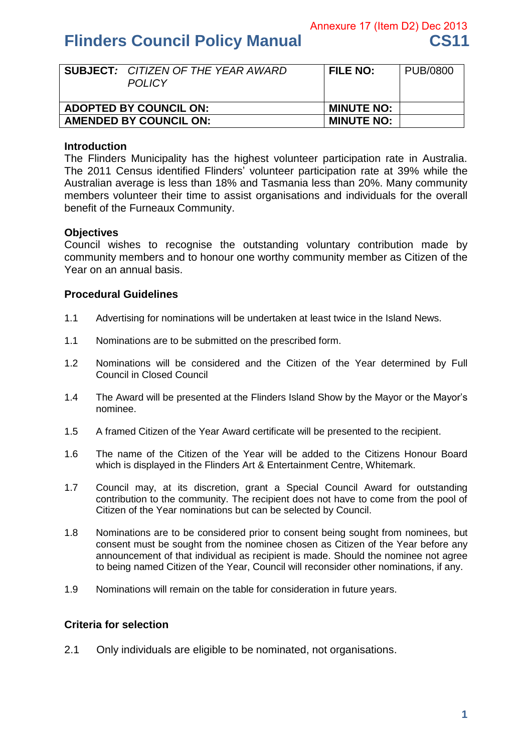# **Flinders Council Policy Manual CS11**

|                               | <b>SUBJECT:</b> CITIZEN OF THE YEAR AWARD<br><b>POLICY</b> | <b>FILE NO:</b>   | PUB/0800 |
|-------------------------------|------------------------------------------------------------|-------------------|----------|
| <b>ADOPTED BY COUNCIL ON:</b> |                                                            | <b>MINUTE NO:</b> |          |
| <b>AMENDED BY COUNCIL ON:</b> |                                                            | <b>MINUTE NO:</b> |          |

## **Introduction**

The Flinders Municipality has the highest volunteer participation rate in Australia. The 2011 Census identified Flinders' volunteer participation rate at 39% while the Australian average is less than 18% and Tasmania less than 20%. Many community members volunteer their time to assist organisations and individuals for the overall benefit of the Furneaux Community.

# **Objectives**

Council wishes to recognise the outstanding voluntary contribution made by community members and to honour one worthy community member as Citizen of the Year on an annual basis.

# **Procedural Guidelines**

- 1.1 Advertising for nominations will be undertaken at least twice in the Island News.
- 1.1 Nominations are to be submitted on the prescribed form.
- 1.2 Nominations will be considered and the Citizen of the Year determined by Full Council in Closed Council
- 1.4 The Award will be presented at the Flinders Island Show by the Mayor or the Mayor's nominee.
- 1.5 A framed Citizen of the Year Award certificate will be presented to the recipient.
- 1.6 The name of the Citizen of the Year will be added to the Citizens Honour Board which is displayed in the Flinders Art & Entertainment Centre, Whitemark.
- 1.7 Council may, at its discretion, grant a Special Council Award for outstanding contribution to the community. The recipient does not have to come from the pool of Citizen of the Year nominations but can be selected by Council.
- 1.8 Nominations are to be considered prior to consent being sought from nominees, but consent must be sought from the nominee chosen as Citizen of the Year before any announcement of that individual as recipient is made. Should the nominee not agree to being named Citizen of the Year, Council will reconsider other nominations, if any.
- 1.9 Nominations will remain on the table for consideration in future years.

#### **Criteria for selection**

2.1 Only individuals are eligible to be nominated, not organisations.